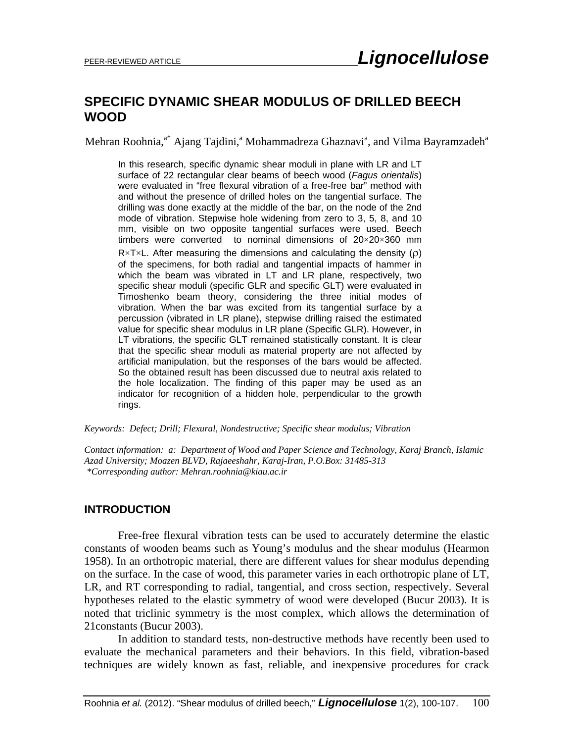# **SPECIFIC DYNAMIC SHEAR MODULUS OF DRILLED BEECH WOOD**

Mehran Roohnia,<sup>a\*</sup> Ajang Tajdini,<sup>a</sup> Mohammadreza Ghaznavi<sup>a</sup>, and Vilma Bayramzadeh<sup>a</sup>

In this research, specific dynamic shear moduli in plane with LR and LT surface of 22 rectangular clear beams of beech wood (*Fagus orientalis*) were evaluated in "free flexural vibration of a free-free bar" method with and without the presence of drilled holes on the tangential surface. The drilling was done exactly at the middle of the bar, on the node of the 2nd mode of vibration. Stepwise hole widening from zero to 3, 5, 8, and 10 mm, visible on two opposite tangential surfaces were used. Beech timbers were converted to nominal dimensions of 20×20×360 mm  $R \times T \times L$ . After measuring the dimensions and calculating the density ( $\rho$ ) of the specimens, for both radial and tangential impacts of hammer in which the beam was vibrated in LT and LR plane, respectively, two specific shear moduli (specific GLR and specific GLT) were evaluated in Timoshenko beam theory, considering the three initial modes of vibration. When the bar was excited from its tangential surface by a percussion (vibrated in LR plane), stepwise drilling raised the estimated value for specific shear modulus in LR plane (Specific GLR). However, in LT vibrations, the specific GLT remained statistically constant. It is clear that the specific shear moduli as material property are not affected by artificial manipulation, but the responses of the bars would be affected. So the obtained result has been discussed due to neutral axis related to the hole localization. The finding of this paper may be used as an indicator for recognition of a hidden hole, perpendicular to the growth rings.

#### *Keywords: Defect; Drill; Flexural, Nondestructive; Specific shear modulus; Vibration*

*Contact information: a: Department of Wood and Paper Science and Technology, Karaj Branch, Islamic Azad University; Moazen BLVD, Rajaeeshahr, Karaj-Iran, P.O.Box: 31485-313 \*Corresponding author: Mehran.roohnia@kiau.ac.ir* 

#### **INTRODUCTION**

Free-free flexural vibration tests can be used to accurately determine the elastic constants of wooden beams such as Young's modulus and the shear modulus (Hearmon 1958). In an orthotropic material, there are different values for shear modulus depending on the surface. In the case of wood, this parameter varies in each orthotropic plane of LT, LR, and RT corresponding to radial, tangential, and cross section, respectively. Several hypotheses related to the elastic symmetry of wood were developed (Bucur 2003). It is noted that triclinic symmetry is the most complex, which allows the determination of 21constants (Bucur 2003).

In addition to standard tests, non-destructive methods have recently been used to evaluate the mechanical parameters and their behaviors. In this field, vibration-based techniques are widely known as fast, reliable, and inexpensive procedures for crack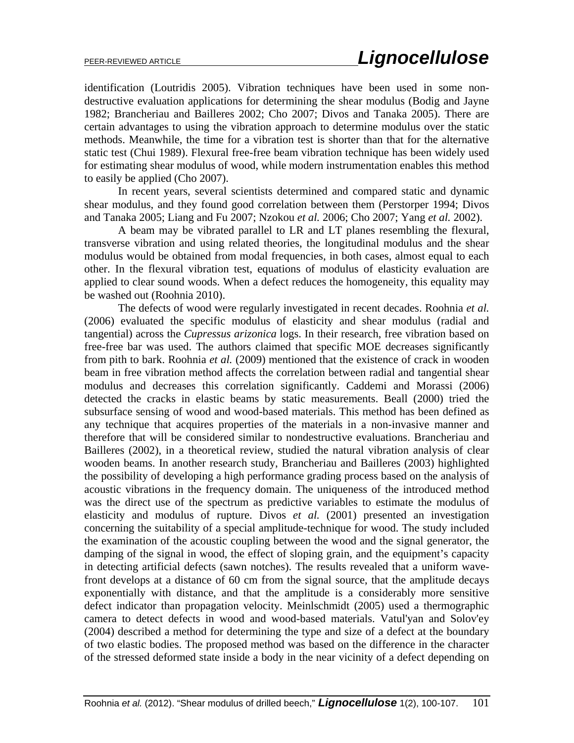identification (Loutridis 2005). Vibration techniques have been used in some nondestructive evaluation applications for determining the shear modulus (Bodig and Jayne 1982; Brancheriau and Bailleres 2002; Cho 2007; Divos and Tanaka 2005). There are certain advantages to using the vibration approach to determine modulus over the static methods. Meanwhile, the time for a vibration test is shorter than that for the alternative static test (Chui 1989). Flexural free-free beam vibration technique has been widely used for estimating shear modulus of wood, while modern instrumentation enables this method to easily be applied (Cho 2007).

In recent years, several scientists determined and compared static and dynamic shear modulus, and they found good correlation between them (Perstorper 1994; Divos and Tanaka 2005; Liang and Fu 2007; Nzokou *et al.* 2006; Cho 2007; Yang *et al.* 2002).

A beam may be vibrated parallel to LR and LT planes resembling the flexural, transverse vibration and using related theories, the longitudinal modulus and the shear modulus would be obtained from modal frequencies, in both cases, almost equal to each other. In the flexural vibration test, equations of modulus of elasticity evaluation are applied to clear sound woods. When a defect reduces the homogeneity, this equality may be washed out (Roohnia 2010).

The defects of wood were regularly investigated in recent decades. Roohnia *et al.* (2006) evaluated the specific modulus of elasticity and shear modulus (radial and tangential) across the *Cupressus arizonica* logs. In their research, free vibration based on free-free bar was used. The authors claimed that specific MOE decreases significantly from pith to bark. Roohnia *et al.* (2009) mentioned that the existence of crack in wooden beam in free vibration method affects the correlation between radial and tangential shear modulus and decreases this correlation significantly. Caddemi and Morassi (2006) detected the cracks in elastic beams by static measurements. Beall (2000) tried the subsurface sensing of wood and wood-based materials. This method has been defined as any technique that acquires properties of the materials in a non-invasive manner and therefore that will be considered similar to nondestructive evaluations. Brancheriau and Bailleres (2002), in a theoretical review, studied the natural vibration analysis of clear wooden beams. In another research study, Brancheriau and Bailleres (2003) highlighted the possibility of developing a high performance grading process based on the analysis of acoustic vibrations in the frequency domain. The uniqueness of the introduced method was the direct use of the spectrum as predictive variables to estimate the modulus of elasticity and modulus of rupture. Divos *et al.* (2001) presented an investigation concerning the suitability of a special amplitude-technique for wood. The study included the examination of the acoustic coupling between the wood and the signal generator, the damping of the signal in wood, the effect of sloping grain, and the equipment's capacity in detecting artificial defects (sawn notches). The results revealed that a uniform wavefront develops at a distance of 60 cm from the signal source, that the amplitude decays exponentially with distance, and that the amplitude is a considerably more sensitive defect indicator than propagation velocity. Meinlschmidt (2005) used a thermographic camera to detect defects in wood and wood-based materials. Vatul'yan and Solov'ey (2004) described a method for determining the type and size of a defect at the boundary of two elastic bodies. The proposed method was based on the difference in the character of the stressed deformed state inside a body in the near vicinity of a defect depending on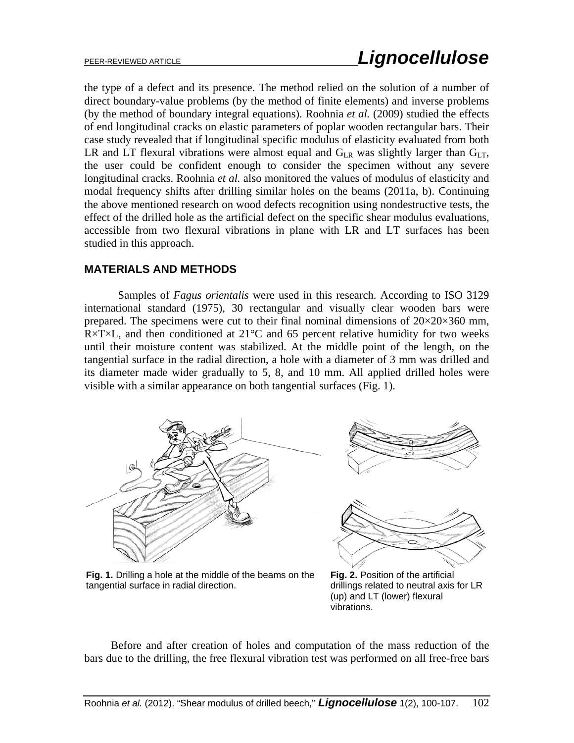the type of a defect and its presence. The method relied on the solution of a number of direct boundary-value problems (by the method of finite elements) and inverse problems (by the method of boundary integral equations). Roohnia *et al.* (2009) studied the effects of end longitudinal cracks on elastic parameters of poplar wooden rectangular bars. Their case study revealed that if longitudinal specific modulus of elasticity evaluated from both LR and LT flexural vibrations were almost equal and  $G_{LR}$  was slightly larger than  $G_{LT}$ , the user could be confident enough to consider the specimen without any severe longitudinal cracks. Roohnia *et al.* also monitored the values of modulus of elasticity and modal frequency shifts after drilling similar holes on the beams (2011a, b). Continuing the above mentioned research on wood defects recognition using nondestructive tests, the effect of the drilled hole as the artificial defect on the specific shear modulus evaluations, accessible from two flexural vibrations in plane with LR and LT surfaces has been studied in this approach.

### **MATERIALS AND METHODS**

Samples of *Fagus orientalis* were used in this research. According to ISO 3129 international standard (1975), 30 rectangular and visually clear wooden bars were prepared. The specimens were cut to their final nominal dimensions of  $20\times20\times360$  mm,  $R \times T \times L$ , and then conditioned at 21 $\degree$ C and 65 percent relative humidity for two weeks until their moisture content was stabilized. At the middle point of the length, on the tangential surface in the radial direction, a hole with a diameter of 3 mm was drilled and its diameter made wider gradually to 5, 8, and 10 mm. All applied drilled holes were visible with a similar appearance on both tangential surfaces (Fig. 1).







**Fig. 1.** Drilling a hole at the middle of the beams on the tangential surface in radial direction.

**Fig. 2.** Position of the artificial drillings related to neutral axis for LR (up) and LT (lower) flexural vibrations.

Before and after creation of holes and computation of the mass reduction of the bars due to the drilling, the free flexural vibration test was performed on all free-free bars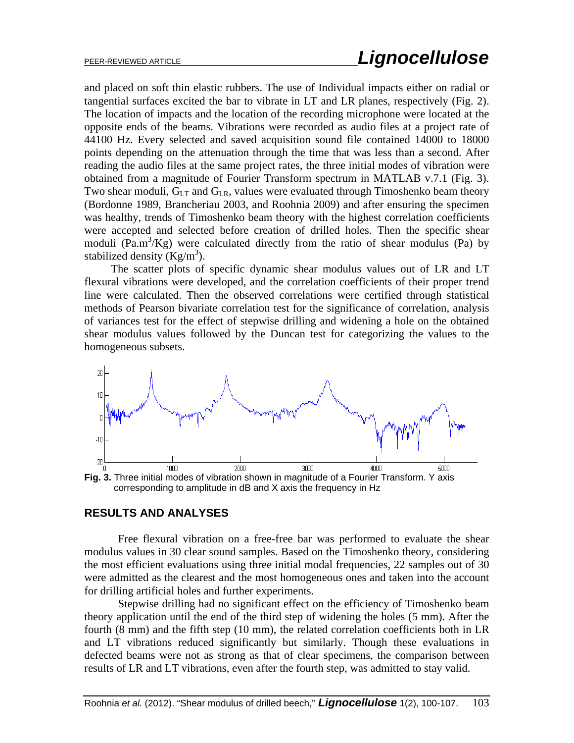and placed on soft thin elastic rubbers. The use of Individual impacts either on radial or tangential surfaces excited the bar to vibrate in LT and LR planes, respectively (Fig. 2). The location of impacts and the location of the recording microphone were located at the opposite ends of the beams. Vibrations were recorded as audio files at a project rate of 44100 Hz. Every selected and saved acquisition sound file contained 14000 to 18000 points depending on the attenuation through the time that was less than a second. After reading the audio files at the same project rates, the three initial modes of vibration were obtained from a magnitude of Fourier Transform spectrum in MATLAB v.7.1 (Fig. 3). Two shear moduli,  $G_{LT}$  and  $G_{LR}$ , values were evaluated through Timoshenko beam theory (Bordonne 1989, Brancheriau 2003, and Roohnia 2009) and after ensuring the specimen was healthy, trends of Timoshenko beam theory with the highest correlation coefficients were accepted and selected before creation of drilled holes. Then the specific shear moduli ( $\text{Pa.m}^3/\text{Kg}$ ) were calculated directly from the ratio of shear modulus (Pa) by stabilized density  $(Kg/m^3)$ .

The scatter plots of specific dynamic shear modulus values out of LR and LT flexural vibrations were developed, and the correlation coefficients of their proper trend line were calculated. Then the observed correlations were certified through statistical methods of Pearson bivariate correlation test for the significance of correlation, analysis of variances test for the effect of stepwise drilling and widening a hole on the obtained shear modulus values followed by the Duncan test for categorizing the values to the homogeneous subsets.



#### **RESULTS AND ANALYSES**

Free flexural vibration on a free-free bar was performed to evaluate the shear modulus values in 30 clear sound samples. Based on the Timoshenko theory, considering the most efficient evaluations using three initial modal frequencies, 22 samples out of 30 were admitted as the clearest and the most homogeneous ones and taken into the account for drilling artificial holes and further experiments.

Stepwise drilling had no significant effect on the efficiency of Timoshenko beam theory application until the end of the third step of widening the holes (5 mm). After the fourth (8 mm) and the fifth step (10 mm), the related correlation coefficients both in LR and LT vibrations reduced significantly but similarly. Though these evaluations in defected beams were not as strong as that of clear specimens, the comparison between results of LR and LT vibrations, even after the fourth step, was admitted to stay valid.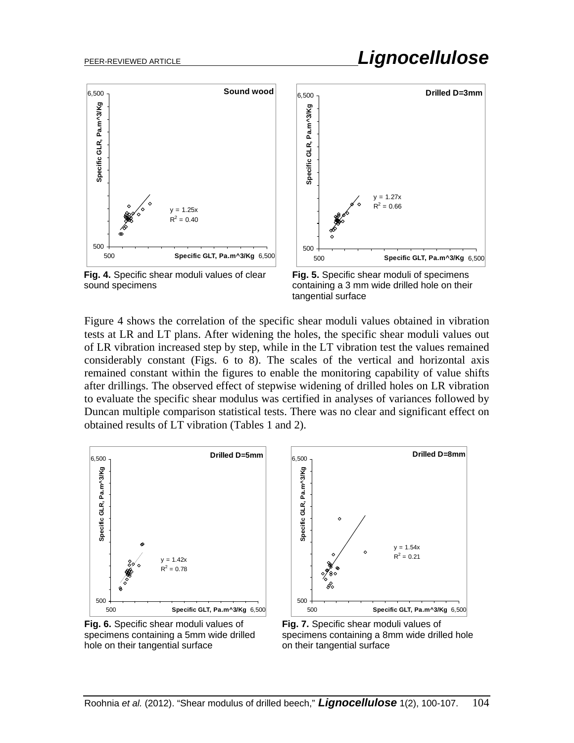

**Fig. 4.** Specific shear moduli values of clear sound specimens



**Fig. 5.** Specific shear moduli of specimens containing a 3 mm wide drilled hole on their tangential surface

Figure 4 shows the correlation of the specific shear moduli values obtained in vibration tests at LR and LT plans. After widening the holes, the specific shear moduli values out of LR vibration increased step by step, while in the LT vibration test the values remained considerably constant (Figs. 6 to 8). The scales of the vertical and horizontal axis remained constant within the figures to enable the monitoring capability of value shifts after drillings. The observed effect of stepwise widening of drilled holes on LR vibration to evaluate the specific shear modulus was certified in analyses of variances followed by Duncan multiple comparison statistical tests. There was no clear and significant effect on obtained results of LT vibration (Tables 1 and 2).



**Fig. 6.** Specific shear moduli values of specimens containing a 5mm wide drilled hole on their tangential surface



**Fig. 7.** Specific shear moduli values of specimens containing a 8mm wide drilled hole on their tangential surface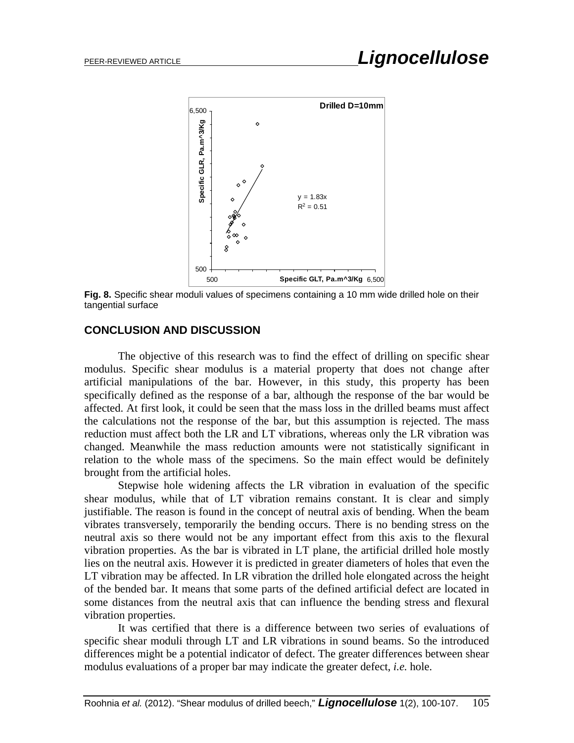

**Fig. 8.** Specific shear moduli values of specimens containing a 10 mm wide drilled hole on their tangential surface

## **CONCLUSION AND DISCUSSION**

The objective of this research was to find the effect of drilling on specific shear modulus. Specific shear modulus is a material property that does not change after artificial manipulations of the bar. However, in this study, this property has been specifically defined as the response of a bar, although the response of the bar would be affected. At first look, it could be seen that the mass loss in the drilled beams must affect the calculations not the response of the bar, but this assumption is rejected. The mass reduction must affect both the LR and LT vibrations, whereas only the LR vibration was changed. Meanwhile the mass reduction amounts were not statistically significant in relation to the whole mass of the specimens. So the main effect would be definitely brought from the artificial holes.

Stepwise hole widening affects the LR vibration in evaluation of the specific shear modulus, while that of LT vibration remains constant. It is clear and simply justifiable. The reason is found in the concept of neutral axis of bending. When the beam vibrates transversely, temporarily the bending occurs. There is no bending stress on the neutral axis so there would not be any important effect from this axis to the flexural vibration properties. As the bar is vibrated in LT plane, the artificial drilled hole mostly lies on the neutral axis. However it is predicted in greater diameters of holes that even the LT vibration may be affected. In LR vibration the drilled hole elongated across the height of the bended bar. It means that some parts of the defined artificial defect are located in some distances from the neutral axis that can influence the bending stress and flexural vibration properties.

It was certified that there is a difference between two series of evaluations of specific shear moduli through LT and LR vibrations in sound beams. So the introduced differences might be a potential indicator of defect. The greater differences between shear modulus evaluations of a proper bar may indicate the greater defect, *i.e.* hole.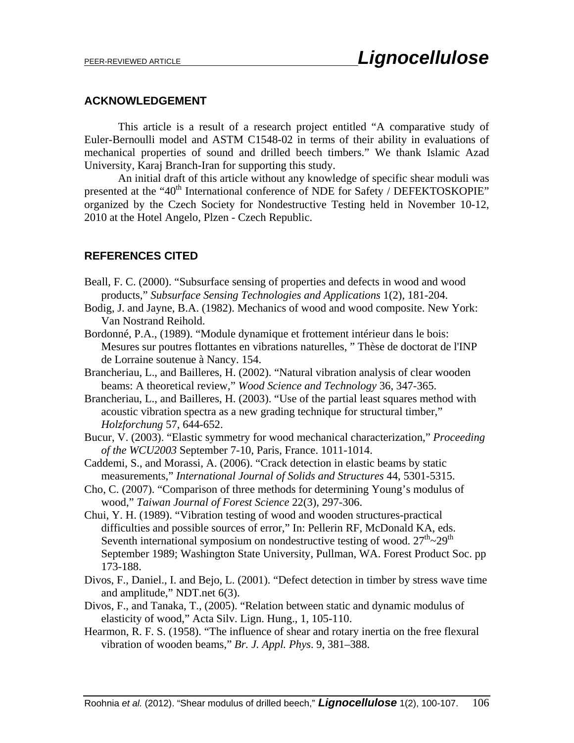#### **ACKNOWLEDGEMENT**

This article is a result of a research project entitled "A comparative study of Euler-Bernoulli model and ASTM C1548-02 in terms of their ability in evaluations of mechanical properties of sound and drilled beech timbers." We thank Islamic Azad University, Karaj Branch-Iran for supporting this study.

An initial draft of this article without any knowledge of specific shear moduli was presented at the "40<sup>th</sup> International conference of NDE for Safety / DEFEKTOSKOPIE" organized by the Czech Society for Nondestructive Testing held in November 10-12, 2010 at the Hotel Angelo, Plzen - Czech Republic.

#### **REFERENCES CITED**

- Beall, F. C. (2000). "Subsurface sensing of properties and defects in wood and wood products," *Subsurface Sensing Technologies and Applications* 1(2), 181-204.
- Bodig, J. and Jayne, B.A. (1982). Mechanics of wood and wood composite. New York: Van Nostrand Reihold.
- Bordonné, P.A., (1989). "Module dynamique et frottement intérieur dans le bois: Mesures sur poutres flottantes en vibrations naturelles, " Thèse de doctorat de l'INP de Lorraine soutenue à Nancy. 154.
- Brancheriau, L., and Bailleres, H. (2002). "Natural vibration analysis of clear wooden beams: A theoretical review," *Wood Science and Technology* 36, 347-365.
- Brancheriau, L., and Bailleres, H. (2003). "Use of the partial least squares method with acoustic vibration spectra as a new grading technique for structural timber," *Holzforchung* 57, 644-652.
- Bucur, V. (2003). "Elastic symmetry for wood mechanical characterization," *Proceeding of the WCU2003* September 7-10, Paris, France. 1011-1014.
- Caddemi, S., and Morassi, A. (2006). "Crack detection in elastic beams by static measurements," *International Journal of Solids and Structures* 44, 5301-5315.
- Cho, C. (2007). "Comparison of three methods for determining Young's modulus of wood," *Taiwan Journal of Forest Science* 22(3), 297-306.
- Chui, Y. H. (1989). "Vibration testing of wood and wooden structures-practical difficulties and possible sources of error," In: Pellerin RF, McDonald KA, eds. Seventh international symposium on nondestructive testing of wood.  $27<sup>th</sup>$   $\sim$   $29<sup>th</sup>$ September 1989; Washington State University, Pullman, WA. Forest Product Soc. pp 173-188.
- Divos, F., Daniel., I. and Bejo, L. (2001). "Defect detection in timber by stress wave time and amplitude," NDT.net 6(3).
- Divos, F., and Tanaka, T., (2005). "Relation between static and dynamic modulus of elasticity of wood," Acta Silv. Lign. Hung., 1, 105-110.
- Hearmon, R. F. S. (1958). "The influence of shear and rotary inertia on the free flexural vibration of wooden beams," *Br. J. Appl. Phys*. 9, 381–388.